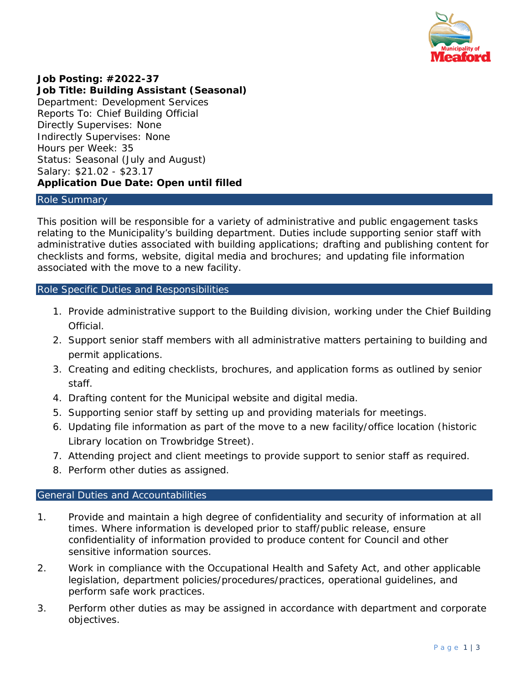

## **Job Posting: #2022-37**

**Job Title: Building Assistant (Seasonal)** Department: Development Services Reports To: Chief Building Official Directly Supervises: None Indirectly Supervises: None Hours per Week: 35 Status: Seasonal (July and August) Salary: \$21.02 - \$23.17 **Application Due Date: Open until filled**

#### Role Summary

This position will be responsible for a variety of administrative and public engagement tasks relating to the Municipality's building department. Duties include supporting senior staff with administrative duties associated with building applications; drafting and publishing content for checklists and forms, website, digital media and brochures; and updating file information associated with the move to a new facility.

### Role Specific Duties and Responsibilities

- 1. Provide administrative support to the Building division, working under the Chief Building **Official**
- 2. Support senior staff members with all administrative matters pertaining to building and permit applications.
- 3. Creating and editing checklists, brochures, and application forms as outlined by senior staff.
- 4. Drafting content for the Municipal website and digital media.
- 5. Supporting senior staff by setting up and providing materials for meetings.
- 6. Updating file information as part of the move to a new facility/office location (historic Library location on Trowbridge Street).
- 7. Attending project and client meetings to provide support to senior staff as required.
- 8. Perform other duties as assigned.

## General Duties and Accountabilities

- 1. Provide and maintain a high degree of confidentiality and security of information at all times. Where information is developed prior to staff/public release, ensure confidentiality of information provided to produce content for Council and other sensitive information sources.
- 2. Work in compliance with the *Occupational Health and Safety Act*, and other applicable legislation, department policies/procedures/practices, operational guidelines, and perform safe work practices.
- 3. Perform other duties as may be assigned in accordance with department and corporate objectives.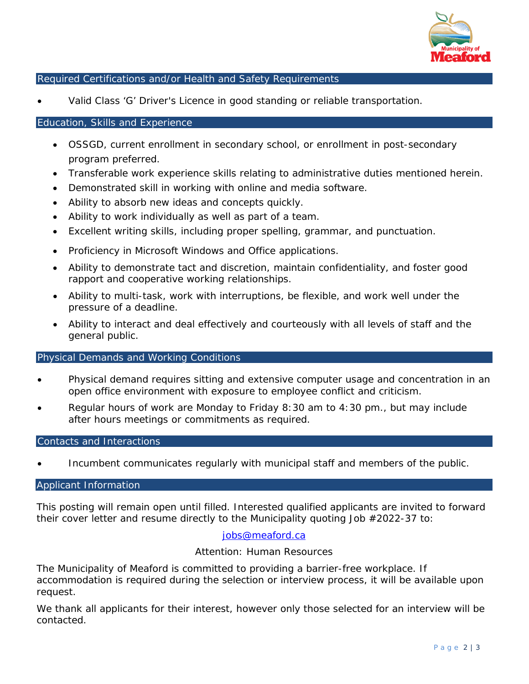

# Required Certifications and/or Health and Safety Requirements

• Valid Class 'G' Driver's Licence in good standing or reliable transportation.

### Education, Skills and Experience

- OSSGD, current enrollment in secondary school, or enrollment in post-secondary program preferred.
- Transferable work experience skills relating to administrative duties mentioned herein.
- Demonstrated skill in working with online and media software.
- Ability to absorb new ideas and concepts quickly.
- Ability to work individually as well as part of a team.
- Excellent writing skills, including proper spelling, grammar, and punctuation.
- Proficiency in Microsoft Windows and Office applications.
- Ability to demonstrate tact and discretion, maintain confidentiality, and foster good rapport and cooperative working relationships.
- Ability to multi-task, work with interruptions, be flexible, and work well under the pressure of a deadline.
- Ability to interact and deal effectively and courteously with all levels of staff and the general public.

### Physical Demands and Working Conditions

- Physical demand requires sitting and extensive computer usage and concentration in an open office environment with exposure to employee conflict and criticism.
- Regular hours of work are Monday to Friday 8:30 am to 4:30 pm., but may include after hours meetings or commitments as required.

### Contacts and Interactions

• Incumbent communicates regularly with municipal staff and members of the public.

## Applicant Information

This posting will remain open until filled. Interested qualified applicants are invited to forward their cover letter and resume directly to the Municipality quoting Job #2022-37 to:

### [jobs@meaford.ca](mailto:jobs@meaford.ca)

### Attention: Human Resources

The Municipality of Meaford is committed to providing a barrier-free workplace. If accommodation is required during the selection or interview process, it will be available upon request.

We thank all applicants for their interest, however only those selected for an interview will be contacted.